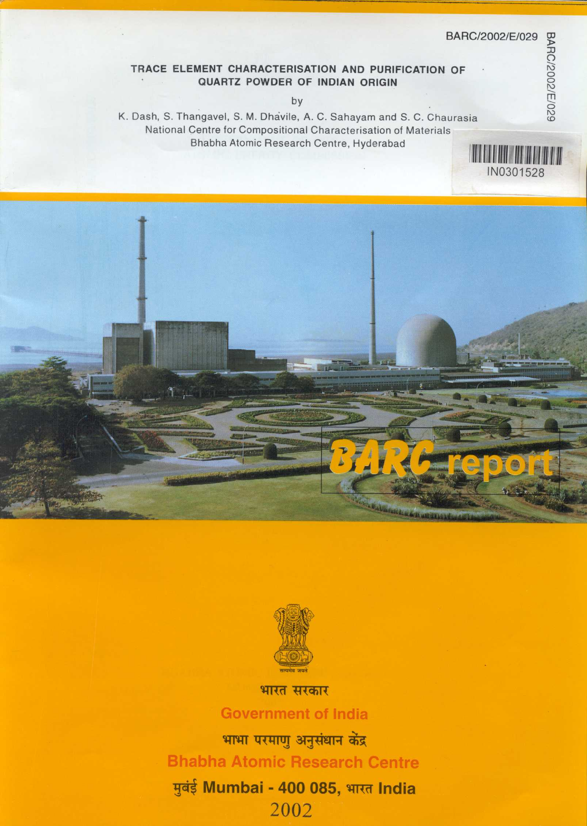IN0301528

# TRACE ELEMENT CHARACTERISATION AND PURIFICATION OF QUARTZ POWDER OF INDIAN ORIGIN

by

K. Dash, S. Thangavel, S. M. Dhavile, A. C. Sahayam and S. C. Chaurasia National Centre for Compositional Characterisation of Materials Bhabha Atomic Research Centre, Hyderabad 





भारत सरकार

**Government of India** 

भाभा परमाणु अनुसंधान केंद्र **Bhabha Atomic Research Centre** मुबंई Mumbai - 400 085, भारत India 2002

BARC/2002/E/029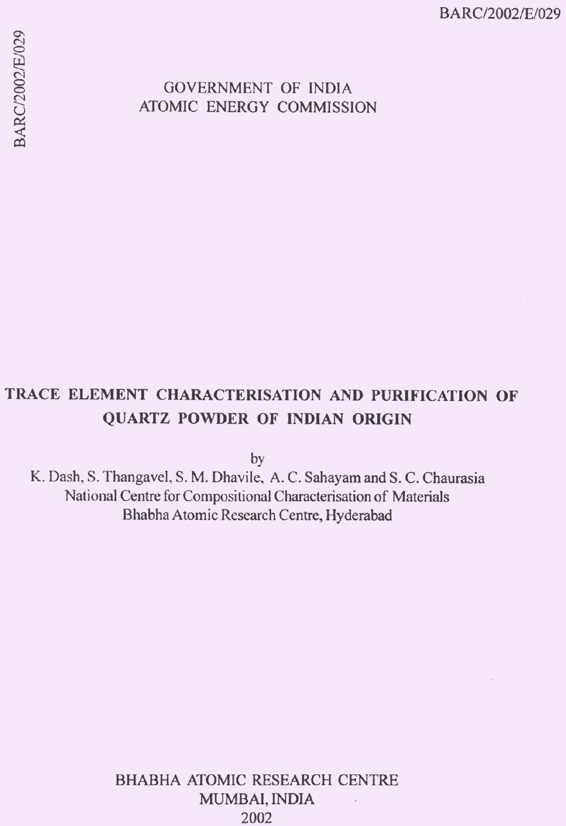BARC/2002/E/029

# **GOVERNMENT OF INDIA** ATOMIC ENERGY COMMISSION

# TRACE ELEMENT CHARACTERISATION AND PURIFICATION OF QUARTZ POWDER OF INDIAN ORIGIN

by

K. Dash, S. Thangavel, S. M. Dhavile, A. C. Sahayam and S. C. Chaurasia National Centre for Compositional Characterisation of Materials Bhabha Atomic Research Centre, Hyderabad

> **BHABHA ATOMIC RESEARCH CENTRE** MUMBAI, INDIA  $\overline{\phantom{a}}$ 2002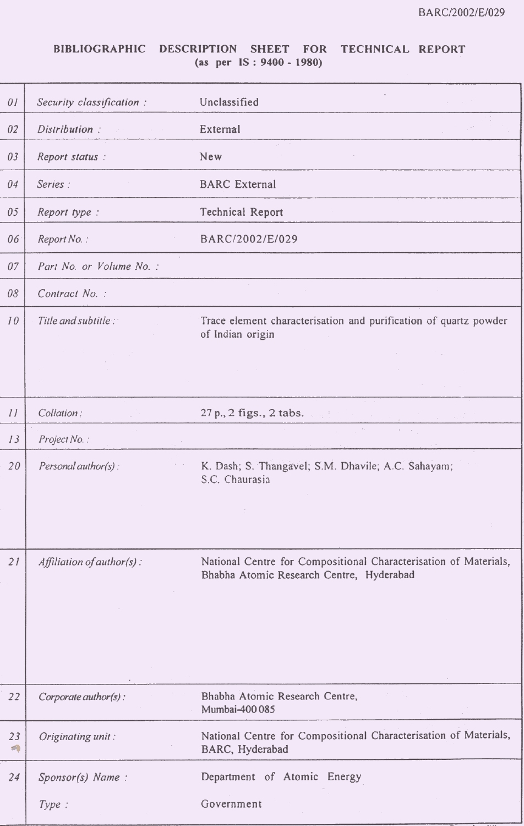# BIBLIOGRAPHIC DESCRIPTION SHEET FOR TECHNICAL REPORT  $(as per IS: 9400 - 1980)$

| 01      | Security classification:      | Unclassified                                                                                                 |
|---------|-------------------------------|--------------------------------------------------------------------------------------------------------------|
| 02      | Distribution:                 | External                                                                                                     |
| 03      | Report status:                | New                                                                                                          |
| 04      | Series:                       | <b>BARC</b> External                                                                                         |
| 05      | Report type :                 | Technical Report                                                                                             |
| 06      | Report No.:                   | BARC/2002/E/029                                                                                              |
| 07      | Part No. or Volume No. :      |                                                                                                              |
| 08      | Contract No. :                |                                                                                                              |
| 10      | Title and subtitle:           | Trace element characterisation and purification of quartz powder<br>of Indian origin                         |
|         |                               |                                                                                                              |
|         |                               |                                                                                                              |
| II      | Collation:                    | 27 p., 2 figs., 2 tabs.                                                                                      |
| 13      | Project No.:                  | $\lambda$                                                                                                    |
| 20      | Personal author(s):           | K. Dash; S. Thangavel; S.M. Dhavile; A.C. Sahayam;<br>S.C. Chaurasia                                         |
|         |                               |                                                                                                              |
| 21      | Affiliation of author( $s$ ): | National Centre for Compositional Characterisation of Materials,<br>Bhabha Atomic Research Centre, Hyderabad |
|         |                               |                                                                                                              |
|         |                               |                                                                                                              |
|         |                               |                                                                                                              |
| 22      | Corporate author(s):          | Bhabha Atomic Research Centre,<br>Mumbai-400 085                                                             |
| 23<br>∩ | Originating unit:             | National Centre for Compositional Characterisation of Materials,<br>BARC, Hyderabad                          |
| 24      | Sponsor(s) Name:              | Department of Atomic Energy                                                                                  |
|         | Type:                         | Government                                                                                                   |
|         |                               |                                                                                                              |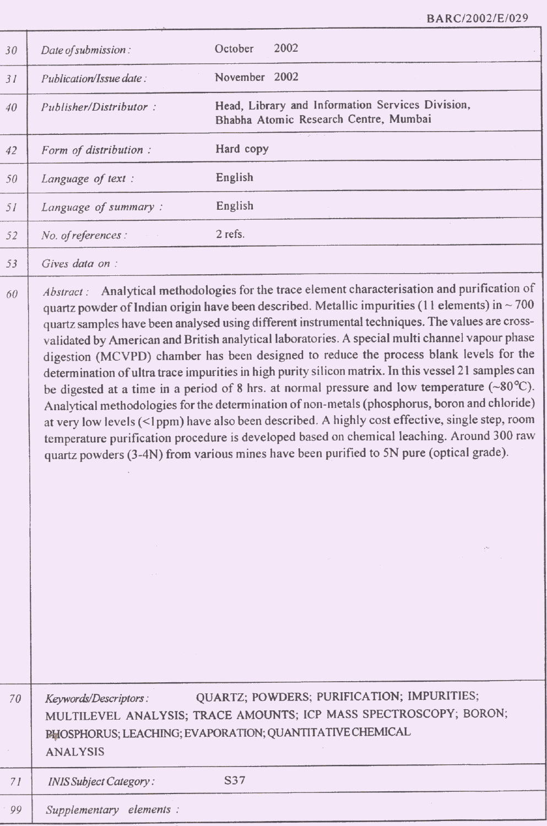BARC/2002/E/029

| 30 | Date of submission:                      | October<br>2002                                                                                                                                                                                                                                                                                                                                                                                                                                                                                                                                                                                                                                                                                                                                                                                                                                                                                                                                                                                                                                                                                                |
|----|------------------------------------------|----------------------------------------------------------------------------------------------------------------------------------------------------------------------------------------------------------------------------------------------------------------------------------------------------------------------------------------------------------------------------------------------------------------------------------------------------------------------------------------------------------------------------------------------------------------------------------------------------------------------------------------------------------------------------------------------------------------------------------------------------------------------------------------------------------------------------------------------------------------------------------------------------------------------------------------------------------------------------------------------------------------------------------------------------------------------------------------------------------------|
| 31 | Publication/Issue date:                  | November 2002                                                                                                                                                                                                                                                                                                                                                                                                                                                                                                                                                                                                                                                                                                                                                                                                                                                                                                                                                                                                                                                                                                  |
| 40 | Publisher/Distributor:                   | Head, Library and Information Services Division,<br>Bhabha Atomic Research Centre, Mumbai                                                                                                                                                                                                                                                                                                                                                                                                                                                                                                                                                                                                                                                                                                                                                                                                                                                                                                                                                                                                                      |
| 42 | Form of distribution :                   | Hard copy                                                                                                                                                                                                                                                                                                                                                                                                                                                                                                                                                                                                                                                                                                                                                                                                                                                                                                                                                                                                                                                                                                      |
| 50 | Language of text :                       | English                                                                                                                                                                                                                                                                                                                                                                                                                                                                                                                                                                                                                                                                                                                                                                                                                                                                                                                                                                                                                                                                                                        |
| 51 | Language of summary:                     | English                                                                                                                                                                                                                                                                                                                                                                                                                                                                                                                                                                                                                                                                                                                                                                                                                                                                                                                                                                                                                                                                                                        |
| 52 | No. of references :                      | 2 refs.                                                                                                                                                                                                                                                                                                                                                                                                                                                                                                                                                                                                                                                                                                                                                                                                                                                                                                                                                                                                                                                                                                        |
| 53 | Gives data on :                          |                                                                                                                                                                                                                                                                                                                                                                                                                                                                                                                                                                                                                                                                                                                                                                                                                                                                                                                                                                                                                                                                                                                |
| 60 | Abstract:                                | Analytical methodologies for the trace element characterisation and purification of<br>quartz powder of Indian origin have been described. Metallic impurities (11 elements) in $\sim$ 700<br>quartz samples have been analysed using different instrumental techniques. The values are cross-<br>validated by American and British analytical laboratories. A special multi channel vapour phase<br>digestion (MCVPD) chamber has been designed to reduce the process blank levels for the<br>determination of ultra trace impurities in high purity silicon matrix. In this vessel 21 samples can<br>be digested at a time in a period of 8 hrs. at normal pressure and low temperature $({\sim}80^{\circ}C)$ .<br>Analytical methodologies for the determination of non-metals (phosphorus, boron and chloride)<br>at very low levels (<1ppm) have also been described. A highly cost effective, single step, room<br>temperature purification procedure is developed based on chemical leaching. Around 300 raw<br>quartz powders (3-4N) from various mines have been purified to 5N pure (optical grade). |
| 70 | Keywords/Descriptors:<br><b>ANALYSIS</b> | QUARTZ; POWDERS; PURIFICATION; IMPURITIES;<br>MULTILEVEL ANALYSIS; TRACE AMOUNTS; ICP MASS SPECTROSCOPY; BORON;<br>PHOSPHORUS; LEACHING; EVAPORATION; QUANTITATIVE CHEMICAL                                                                                                                                                                                                                                                                                                                                                                                                                                                                                                                                                                                                                                                                                                                                                                                                                                                                                                                                    |
| 71 | INIS Subject Category:                   | S37                                                                                                                                                                                                                                                                                                                                                                                                                                                                                                                                                                                                                                                                                                                                                                                                                                                                                                                                                                                                                                                                                                            |
| 99 | Supplementary elements :                 |                                                                                                                                                                                                                                                                                                                                                                                                                                                                                                                                                                                                                                                                                                                                                                                                                                                                                                                                                                                                                                                                                                                |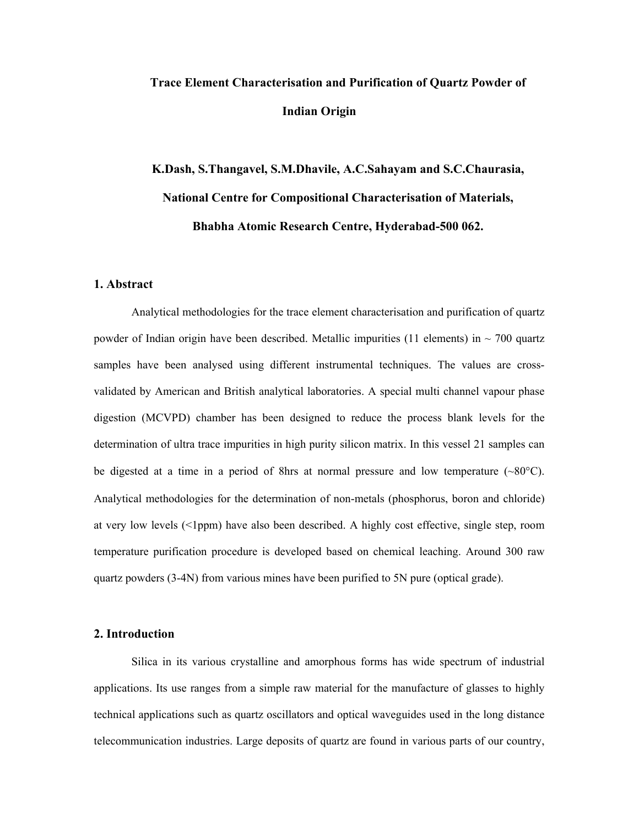# **Trace Element Characterisation and Purification of Quartz Powder of Indian Origin**

# **K.Dash, S.Thangavel, S.M.Dhavile, A.C.Sahayam and S.C.Chaurasia, National Centre for Compositional Characterisation of Materials, Bhabha Atomic Research Centre, Hyderabad-500 062.**

# **1. Abstract**

Analytical methodologies for the trace element characterisation and purification of quartz powder of Indian origin have been described. Metallic impurities (11 elements) in  $\sim$  700 quartz samples have been analysed using different instrumental techniques. The values are crossvalidated by American and British analytical laboratories. A special multi channel vapour phase digestion (MCVPD) chamber has been designed to reduce the process blank levels for the determination of ultra trace impurities in high purity silicon matrix. In this vessel 21 samples can be digested at a time in a period of 8hrs at normal pressure and low temperature  $(\sim80^{\circ}C)$ . Analytical methodologies for the determination of non-metals (phosphorus, boron and chloride) at very low levels (<1ppm) have also been described. A highly cost effective, single step, room temperature purification procedure is developed based on chemical leaching. Around 300 raw quartz powders (3-4N) from various mines have been purified to 5N pure (optical grade).

## **2. Introduction**

Silica in its various crystalline and amorphous forms has wide spectrum of industrial applications. Its use ranges from a simple raw material for the manufacture of glasses to highly technical applications such as quartz oscillators and optical waveguides used in the long distance telecommunication industries. Large deposits of quartz are found in various parts of our country,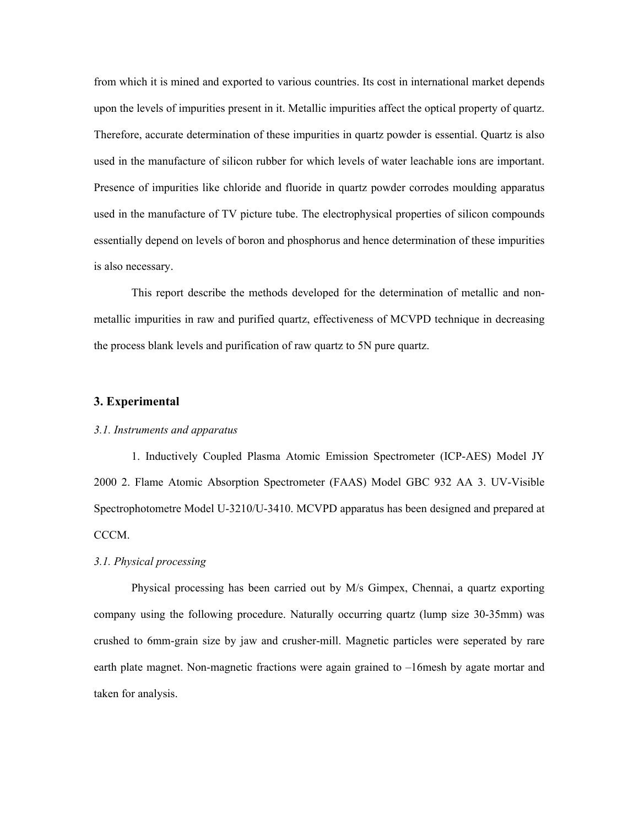from which it is mined and exported to various countries. Its cost in international market depends upon the levels of impurities present in it. Metallic impurities affect the optical property of quartz. Therefore, accurate determination of these impurities in quartz powder is essential. Quartz is also used in the manufacture of silicon rubber for which levels of water leachable ions are important. Presence of impurities like chloride and fluoride in quartz powder corrodes moulding apparatus used in the manufacture of TV picture tube. The electrophysical properties of silicon compounds essentially depend on levels of boron and phosphorus and hence determination of these impurities is also necessary.

This report describe the methods developed for the determination of metallic and nonmetallic impurities in raw and purified quartz, effectiveness of MCVPD technique in decreasing the process blank levels and purification of raw quartz to 5N pure quartz.

# **3. Experimental**

## *3.1. Instruments and apparatus*

1. Inductively Coupled Plasma Atomic Emission Spectrometer (ICP-AES) Model JY 2000 2. Flame Atomic Absorption Spectrometer (FAAS) Model GBC 932 AA 3. UV-Visible Spectrophotometre Model U-3210/U-3410. MCVPD apparatus has been designed and prepared at CCCM.

## *3.1. Physical processing*

Physical processing has been carried out by M/s Gimpex, Chennai, a quartz exporting company using the following procedure. Naturally occurring quartz (lump size 30-35mm) was crushed to 6mm-grain size by jaw and crusher-mill. Magnetic particles were seperated by rare earth plate magnet. Non-magnetic fractions were again grained to –16mesh by agate mortar and taken for analysis.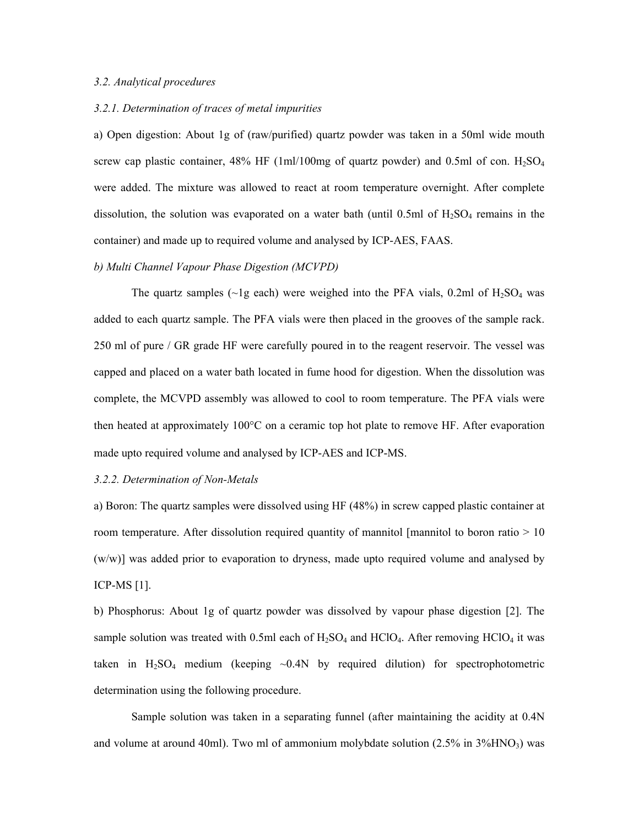#### *3.2. Analytical procedures*

#### *3.2.1. Determination of traces of metal impurities*

a) Open digestion: About 1g of (raw/purified) quartz powder was taken in a 50ml wide mouth screw cap plastic container,  $48\%$  HF (1ml/100mg of quartz powder) and 0.5ml of con.  $H_2SO_4$ were added. The mixture was allowed to react at room temperature overnight. After complete dissolution, the solution was evaporated on a water bath (until 0.5ml of  $H_2SO_4$  remains in the container) and made up to required volume and analysed by ICP-AES, FAAS.

#### *b) Multi Channel Vapour Phase Digestion (MCVPD)*

The quartz samples ( $\sim$ 1g each) were weighed into the PFA vials, 0.2ml of H<sub>2</sub>SO<sub>4</sub> was added to each quartz sample. The PFA vials were then placed in the grooves of the sample rack. 250 ml of pure / GR grade HF were carefully poured in to the reagent reservoir. The vessel was capped and placed on a water bath located in fume hood for digestion. When the dissolution was complete, the MCVPD assembly was allowed to cool to room temperature. The PFA vials were then heated at approximately 100°C on a ceramic top hot plate to remove HF. After evaporation made upto required volume and analysed by ICP-AES and ICP-MS.

#### *3.2.2. Determination of Non-Metals*

a) Boron: The quartz samples were dissolved using HF (48%) in screw capped plastic container at room temperature. After dissolution required quantity of mannitol [mannitol to boron ratio  $> 10$ (w/w)] was added prior to evaporation to dryness, made upto required volume and analysed by ICP-MS [1].

b) Phosphorus: About 1g of quartz powder was dissolved by vapour phase digestion [2]. The sample solution was treated with 0.5ml each of  $H_2SO_4$  and  $HCIO_4$ . After removing  $HCIO_4$  it was taken in  $H_2SO_4$  medium (keeping  $\sim 0.4N$  by required dilution) for spectrophotometric determination using the following procedure.

 Sample solution was taken in a separating funnel (after maintaining the acidity at 0.4N and volume at around 40ml). Two ml of ammonium molybdate solution  $(2.5\%$  in  $3\%$ HNO<sub>3</sub>) was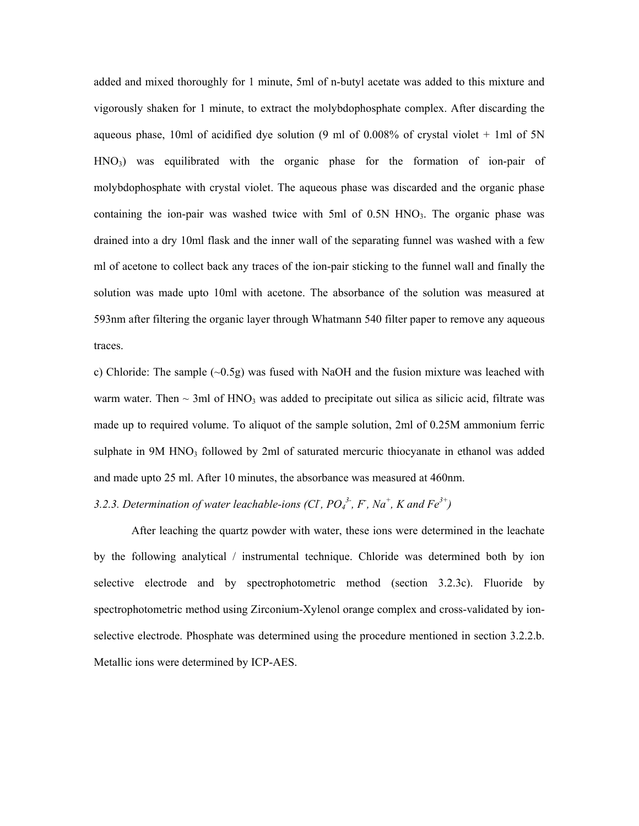added and mixed thoroughly for 1 minute, 5ml of n-butyl acetate was added to this mixture and vigorously shaken for 1 minute, to extract the molybdophosphate complex. After discarding the aqueous phase, 10ml of acidified dye solution (9 ml of 0.008% of crystal violet  $+$  1ml of 5N  $HNO<sub>3</sub>$ ) was equilibrated with the organic phase for the formation of ion-pair of molybdophosphate with crystal violet. The aqueous phase was discarded and the organic phase containing the ion-pair was washed twice with 5ml of 0.5N HNO<sub>3</sub>. The organic phase was drained into a dry 10ml flask and the inner wall of the separating funnel was washed with a few ml of acetone to collect back any traces of the ion-pair sticking to the funnel wall and finally the solution was made upto 10ml with acetone. The absorbance of the solution was measured at 593nm after filtering the organic layer through Whatmann 540 filter paper to remove any aqueous traces.

c) Chloride: The sample  $(\sim 0.5g)$  was fused with NaOH and the fusion mixture was leached with warm water. Then  $\sim$  3ml of HNO<sub>3</sub> was added to precipitate out silica as silicic acid, filtrate was made up to required volume. To aliquot of the sample solution, 2ml of 0.25M ammonium ferric sulphate in 9M HNO<sub>3</sub> followed by 2ml of saturated mercuric thiocyanate in ethanol was added and made upto 25 ml. After 10 minutes, the absorbance was measured at 460nm.

# *3.2.3. Determination of water leachable-ions (CI, PO<sub>4</sub><sup>3</sup>, F, Na<sup>+</sup>, K and Fe<sup>3+</sup>)*

After leaching the quartz powder with water, these ions were determined in the leachate by the following analytical / instrumental technique. Chloride was determined both by ion selective electrode and by spectrophotometric method (section 3.2.3c). Fluoride by spectrophotometric method using Zirconium-Xylenol orange complex and cross-validated by ionselective electrode. Phosphate was determined using the procedure mentioned in section 3.2.2.b. Metallic ions were determined by ICP-AES.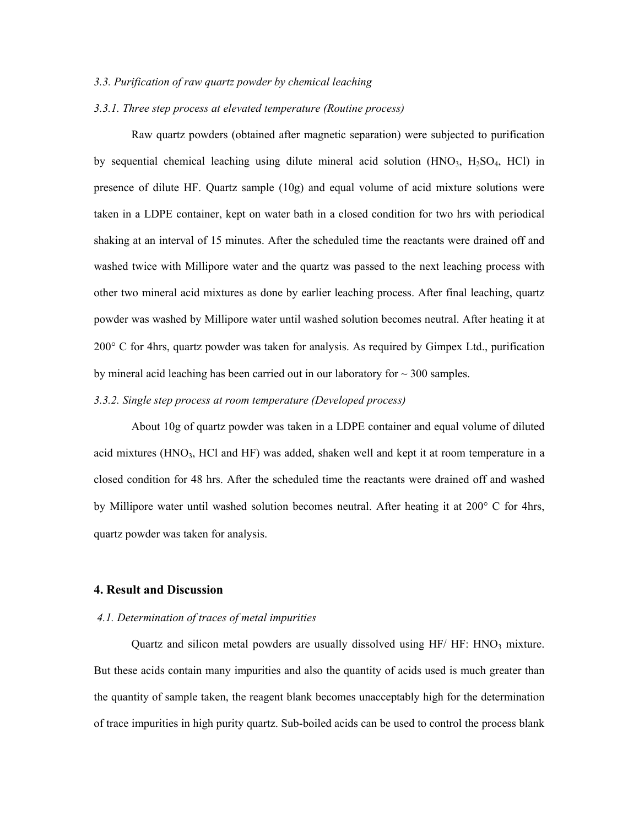#### *3.3. Purification of raw quartz powder by chemical leaching*

## *3.3.1. Three step process at elevated temperature (Routine process)*

 Raw quartz powders (obtained after magnetic separation) were subjected to purification by sequential chemical leaching using dilute mineral acid solution  $(HNO<sub>3</sub>, H<sub>2</sub>SO<sub>4</sub>, HCl)$  in presence of dilute HF. Quartz sample (10g) and equal volume of acid mixture solutions were taken in a LDPE container, kept on water bath in a closed condition for two hrs with periodical shaking at an interval of 15 minutes. After the scheduled time the reactants were drained off and washed twice with Millipore water and the quartz was passed to the next leaching process with other two mineral acid mixtures as done by earlier leaching process. After final leaching, quartz powder was washed by Millipore water until washed solution becomes neutral. After heating it at 200° C for 4hrs, quartz powder was taken for analysis. As required by Gimpex Ltd., purification by mineral acid leaching has been carried out in our laboratory for  $\sim$  300 samples.

## *3.3.2. Single step process at room temperature (Developed process)*

About 10g of quartz powder was taken in a LDPE container and equal volume of diluted acid mixtures (HNO<sub>3</sub>, HCl and HF) was added, shaken well and kept it at room temperature in a closed condition for 48 hrs. After the scheduled time the reactants were drained off and washed by Millipore water until washed solution becomes neutral. After heating it at 200° C for 4hrs, quartz powder was taken for analysis.

#### **4. Result and Discussion**

#### *4.1. Determination of traces of metal impurities*

Quartz and silicon metal powders are usually dissolved using  $HF/HF$ :  $HNO<sub>3</sub>$  mixture. But these acids contain many impurities and also the quantity of acids used is much greater than the quantity of sample taken, the reagent blank becomes unacceptably high for the determination of trace impurities in high purity quartz. Sub-boiled acids can be used to control the process blank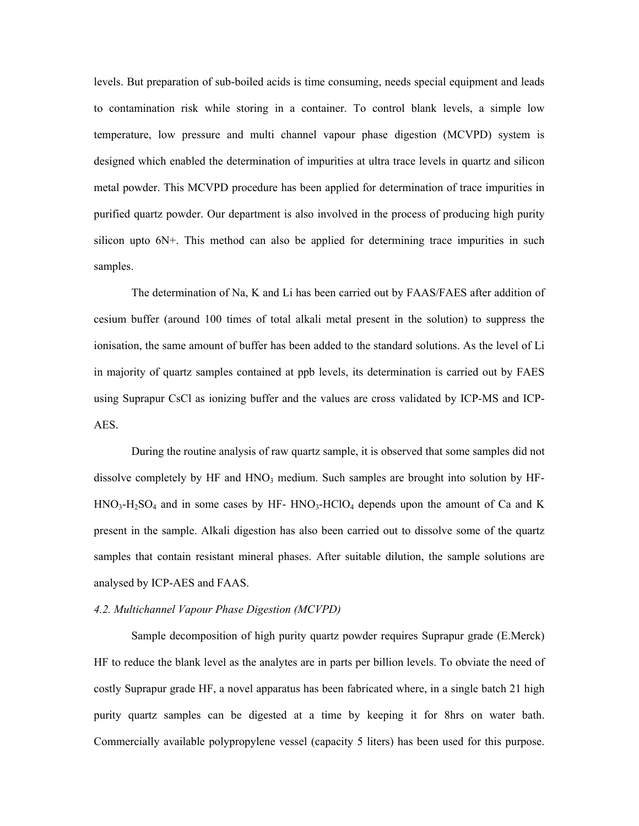levels. But preparation of sub-boiled acids is time consuming, needs special equipment and leads to contamination risk while storing in a container. To control blank levels, a simple low temperature, low pressure and multi channel vapour phase digestion (MCVPD) system is designed which enabled the determination of impurities at ultra trace levels in quartz and silicon metal powder. This MCVPD procedure has been applied for determination of trace impurities in purified quartz powder. Our department is also involved in the process of producing high purity silicon upto 6N+. This method can also be applied for determining trace impurities in such samples.

The determination of Na, K and Li has been carried out by FAAS/FAES after addition of cesium buffer (around 100 times of total alkali metal present in the solution) to suppress the ionisation, the same amount of buffer has been added to the standard solutions. As the level of Li in majority of quartz samples contained at ppb levels, its determination is carried out by FAES using Suprapur CsCl as ionizing buffer and the values are cross validated by ICP-MS and ICP-AES.

During the routine analysis of raw quartz sample, it is observed that some samples did not dissolve completely by HF and  $HNO<sub>3</sub>$  medium. Such samples are brought into solution by HF- $HNO<sub>3</sub>-H<sub>2</sub>SO<sub>4</sub>$  and in some cases by HF-  $HNO<sub>3</sub>-HClO<sub>4</sub>$  depends upon the amount of Ca and K present in the sample. Alkali digestion has also been carried out to dissolve some of the quartz samples that contain resistant mineral phases. After suitable dilution, the sample solutions are analysed by ICP-AES and FAAS.

#### *4.2. Multichannel Vapour Phase Digestion (MCVPD)*

Sample decomposition of high purity quartz powder requires Suprapur grade (E.Merck) HF to reduce the blank level as the analytes are in parts per billion levels. To obviate the need of costly Suprapur grade HF, a novel apparatus has been fabricated where, in a single batch 21 high purity quartz samples can be digested at a time by keeping it for 8hrs on water bath. Commercially available polypropylene vessel (capacity 5 liters) has been used for this purpose.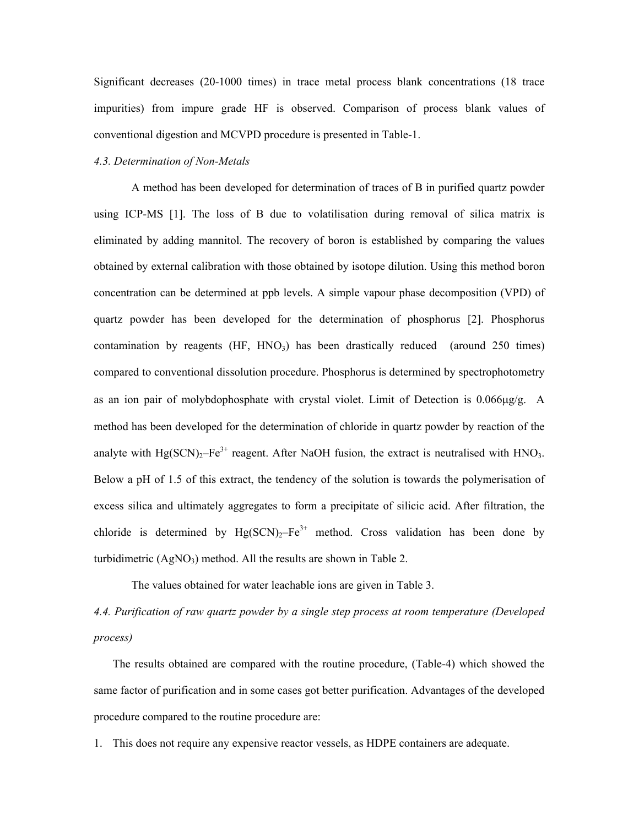Significant decreases (20-1000 times) in trace metal process blank concentrations (18 trace impurities) from impure grade HF is observed. Comparison of process blank values of conventional digestion and MCVPD procedure is presented in Table-1.

# *4.3. Determination of Non-Metals*

A method has been developed for determination of traces of B in purified quartz powder using ICP-MS [1]. The loss of B due to volatilisation during removal of silica matrix is eliminated by adding mannitol. The recovery of boron is established by comparing the values obtained by external calibration with those obtained by isotope dilution. Using this method boron concentration can be determined at ppb levels. A simple vapour phase decomposition (VPD) of quartz powder has been developed for the determination of phosphorus [2]. Phosphorus contamination by reagents (HF, HNO<sub>3</sub>) has been drastically reduced (around 250 times) compared to conventional dissolution procedure. Phosphorus is determined by spectrophotometry as an ion pair of molybdophosphate with crystal violet. Limit of Detection is  $0.066\mu g/g$ . A method has been developed for the determination of chloride in quartz powder by reaction of the analyte with  $Hg(SCN)_{2}$ –Fe<sup>3+</sup> reagent. After NaOH fusion, the extract is neutralised with HNO<sub>3</sub>. Below a pH of 1.5 of this extract, the tendency of the solution is towards the polymerisation of excess silica and ultimately aggregates to form a precipitate of silicic acid. After filtration, the chloride is determined by  $Hg(SCN)_2-Fe^{3+}$  method. Cross validation has been done by turbidimetric  $(AgNO_3)$  method. All the results are shown in Table 2.

The values obtained for water leachable ions are given in Table 3.

*4.4. Purification of raw quartz powder by a single step process at room temperature (Developed process)* 

The results obtained are compared with the routine procedure, (Table-4) which showed the same factor of purification and in some cases got better purification. Advantages of the developed procedure compared to the routine procedure are:

1. This does not require any expensive reactor vessels, as HDPE containers are adequate.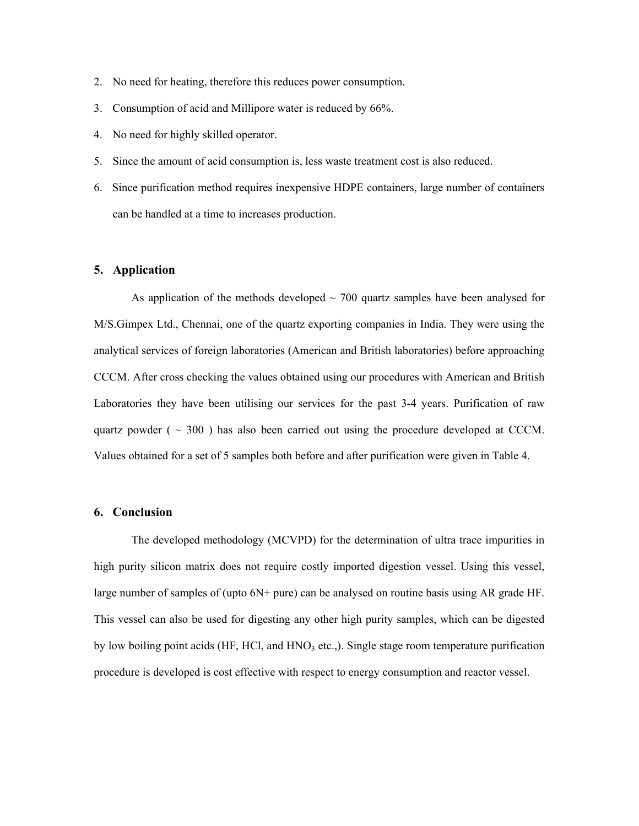- 2. No need for heating, therefore this reduces power consumption.
- 3. Consumption of acid and Millipore water is reduced by 66%.
- 4. No need for highly skilled operator.
- 5. Since the amount of acid consumption is, less waste treatment cost is also reduced.
- 6. Since purification method requires inexpensive HDPE containers, large number of containers can be handled at a time to increases production.

# **5. Application**

As application of the methods developed  $\sim$  700 quartz samples have been analysed for M/S.Gimpex Ltd., Chennai, one of the quartz exporting companies in India. They were using the analytical services of foreign laboratories (American and British laboratories) before approaching CCCM. After cross checking the values obtained using our procedures with American and British Laboratories they have been utilising our services for the past 3-4 years. Purification of raw quartz powder ( $\sim$  300) has also been carried out using the procedure developed at CCCM. Values obtained for a set of 5 samples both before and after purification were given in Table 4.

#### **6. Conclusion**

The developed methodology (MCVPD) for the determination of ultra trace impurities in high purity silicon matrix does not require costly imported digestion vessel. Using this vessel, large number of samples of (upto 6N+ pure) can be analysed on routine basis using AR grade HF. This vessel can also be used for digesting any other high purity samples, which can be digested by low boiling point acids  $(HF, HC)$ , and  $HNO<sub>3</sub>$  etc.,). Single stage room temperature purification procedure is developed is cost effective with respect to energy consumption and reactor vessel.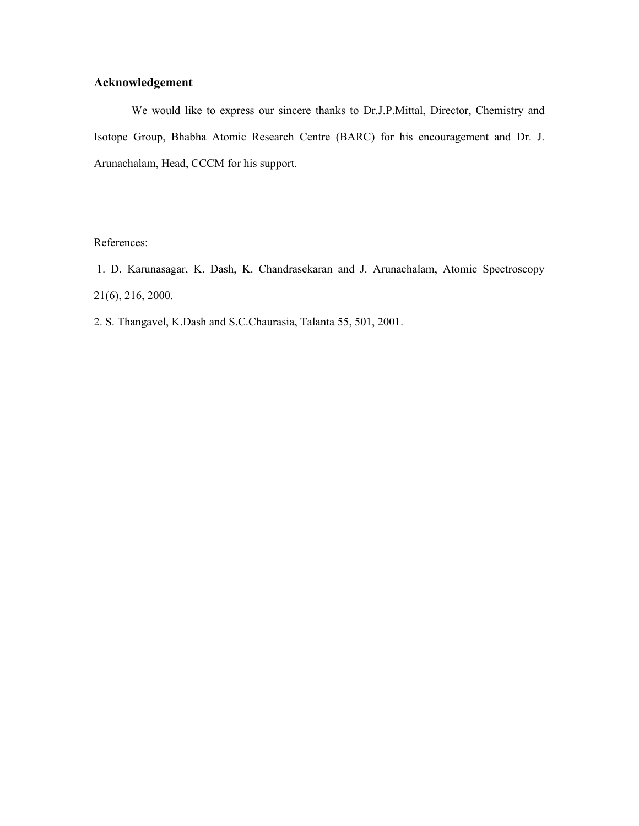# **Acknowledgement**

We would like to express our sincere thanks to Dr.J.P.Mittal, Director, Chemistry and Isotope Group, Bhabha Atomic Research Centre (BARC) for his encouragement and Dr. J. Arunachalam, Head, CCCM for his support.

References:

 1. D. Karunasagar, K. Dash, K. Chandrasekaran and J. Arunachalam, Atomic Spectroscopy 21(6), 216, 2000.

2. S. Thangavel, K.Dash and S.C.Chaurasia, Talanta 55, 501, 2001.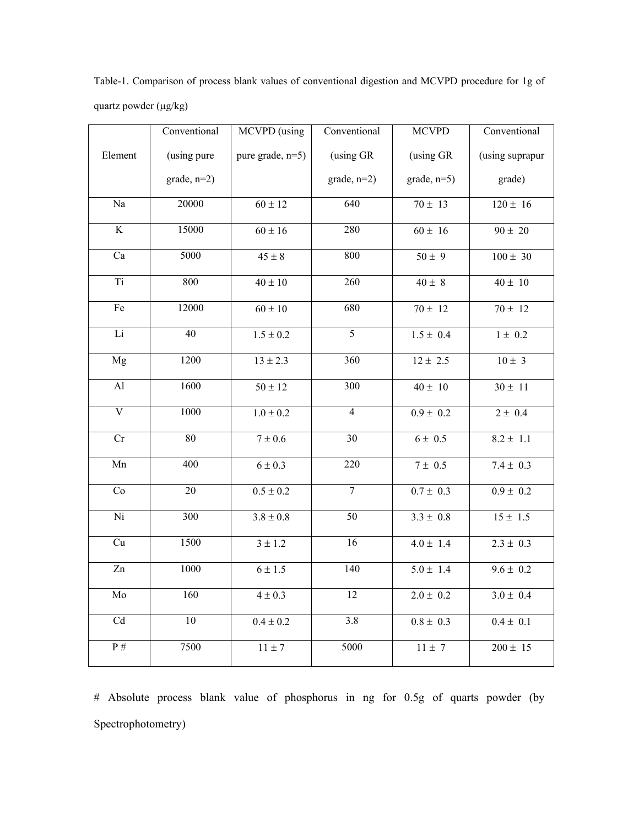|                         | Conventional  | MCVPD (using     | $\overline{\text{Conventional}}$ | <b>MCVPD</b>  | Conventional    |
|-------------------------|---------------|------------------|----------------------------------|---------------|-----------------|
| Element                 | (using pure   | pure grade, n=5) | (using GR                        | (using GR     | (using suprapur |
|                         | $grade, n=2)$ |                  | $grade, n=2)$                    | $grade, n=5)$ | grade)          |
| $\rm Na$                | 20000         | $60 \pm 12$      | 640                              | $70 \pm 13$   | $120 \pm 16$    |
| $\overline{\mathbf{K}}$ | 15000         | $60 \pm 16$      | 280                              | $60 \pm 16$   | $90 \pm 20$     |
| $\overline{Ca}$         | 5000          | $45 \pm 8$       | 800                              | $50 \pm 9$    | $100 \pm\ 30$   |
| Ti                      | 800           | $40 \pm 10$      | 260                              | $40 \pm 8$    | $40 \pm 10$     |
| Fe                      | 12000         | $60\pm10$        | 680                              | $70 \pm 12$   | $70 \pm 12$     |
| Li                      | 40            | $1.5 \pm 0.2$    | 5                                | $1.5 \pm 0.4$ | $1 \pm 0.2$     |
| Mg                      | 1200          | $13 \pm 2.3$     | 360                              | $12 \pm 2.5$  | $10 \pm 3$      |
| AI                      | 1600          | $50 \pm 12$      | 300                              | $40\pm\ 10$   | $30 \pm 11$     |
| $\overline{\mathbf{V}}$ | 1000          | $1.0 \pm 0.2$    | $\overline{4}$                   | $0.9 \pm 0.2$ | $2 \pm 0.4$     |
| Cr                      | 80            | $7\pm0.6$        | 30                               | $6\pm\,0.5$   | $8.2 \pm 1.1$   |
| Mn                      | 400           | $6 \pm 0.3$      | 220                              | $7 \pm 0.5$   | $7.4 \pm 0.3$   |
| $\overline{\text{Co}}$  | $20\,$        | $0.5 \pm 0.2$    | $\overline{7}$                   | $0.7 \pm 0.3$ | $0.9 \pm 0.2$   |
| $\overline{Ni}$         | 300           | $3.8 \pm 0.8$    | 50                               | $3.3 \pm 0.8$ | $15 \pm 1.5$    |
| Cu                      | 1500          | $3 \pm 1.2$      | 16                               | $4.0 \pm 1.4$ | $2.3 \pm 0.3$   |
| $\overline{Zn}$         | 1000          | $6 \pm 1.5$      | 140                              | $5.0 \pm 1.4$ | $9.6 \pm 0.2$   |
| Mo                      | 160           | $4\pm0.3$        | 12                               | $2.0 \pm 0.2$ | $3.0 \pm 0.4$   |
| Cd                      | 10            | $0.4 \pm 0.2$    | $3.8\,$                          | $0.8\pm\ 0.3$ | $0.4 \pm 0.1$   |
| $\overline{P}$ #        | 7500          | $11\pm7$         | 5000                             | $11 \pm 7$    | $200 \pm 15$    |

Table-1. Comparison of process blank values of conventional digestion and MCVPD procedure for 1g of quartz powder (µg/kg)

# Absolute process blank value of phosphorus in ng for 0.5g of quarts powder (by Spectrophotometry)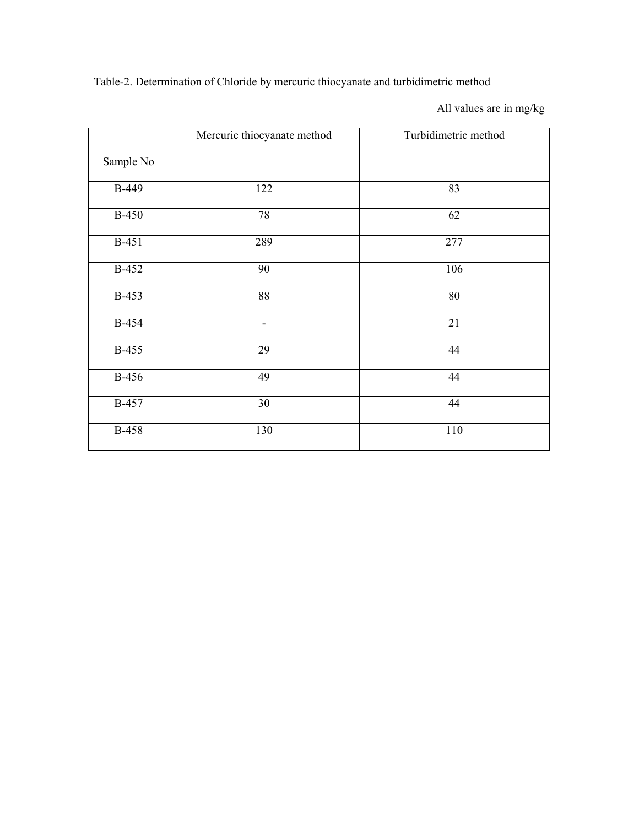Table-2. Determination of Chloride by mercuric thiocyanate and turbidimetric method

All values are in mg/kg

|              | Mercuric thiocyanate method | Turbidimetric method |
|--------------|-----------------------------|----------------------|
| Sample No    |                             |                      |
| <b>B-449</b> | 122                         | 83                   |
| <b>B-450</b> | 78                          | 62                   |
| <b>B-451</b> | 289                         | 277                  |
| <b>B-452</b> | 90                          | 106                  |
| B-453        | 88                          | 80                   |
| <b>B-454</b> | -                           | 21                   |
| <b>B-455</b> | 29                          | 44                   |
| <b>B-456</b> | 49                          | 44                   |
| <b>B-457</b> | 30                          | 44                   |
| <b>B-458</b> | 130                         | 110                  |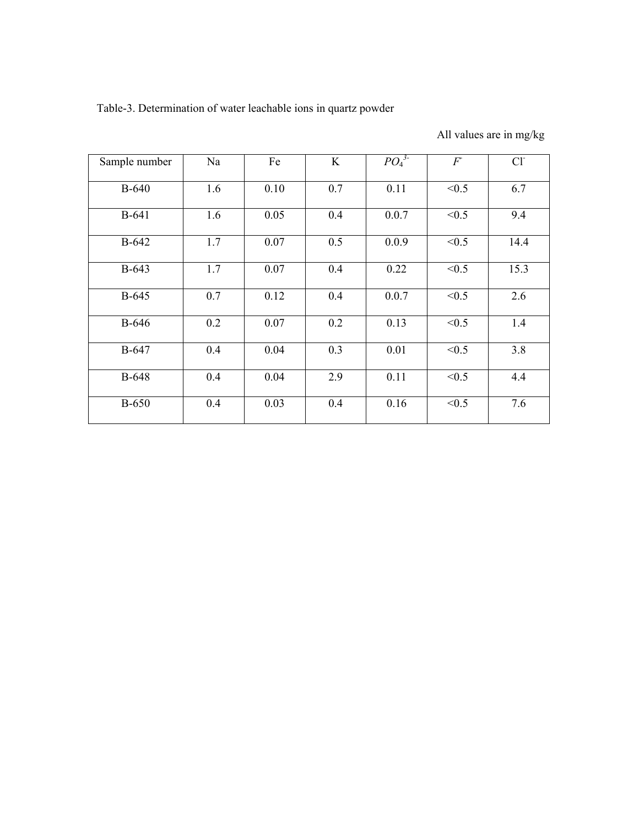Table-3. Determination of water leachable ions in quartz powder

All values are in mg/kg

| Sample number | Na  | Fe   | K   | $PO_4^3$ | F     | Cl <sup>2</sup> |
|---------------|-----|------|-----|----------|-------|-----------------|
| <b>B-640</b>  | 1.6 | 0.10 | 0.7 | 0.11     | < 0.5 | 6.7             |
| <b>B-641</b>  | 1.6 | 0.05 | 0.4 | 0.0.7    | < 0.5 | 9.4             |
| $B-642$       | 1.7 | 0.07 | 0.5 | 0.0.9    | < 0.5 | 14.4            |
| $B-643$       | 1.7 | 0.07 | 0.4 | 0.22     | < 0.5 | 15.3            |
| <b>B-645</b>  | 0.7 | 0.12 | 0.4 | 0.0.7    | < 0.5 | 2.6             |
| <b>B-646</b>  | 0.2 | 0.07 | 0.2 | 0.13     | < 0.5 | 1.4             |
| <b>B-647</b>  | 0.4 | 0.04 | 0.3 | 0.01     | < 0.5 | 3.8             |
| $B-648$       | 0.4 | 0.04 | 2.9 | 0.11     | < 0.5 | 4.4             |
| <b>B-650</b>  | 0.4 | 0.03 | 0.4 | 0.16     | < 0.5 | 7.6             |